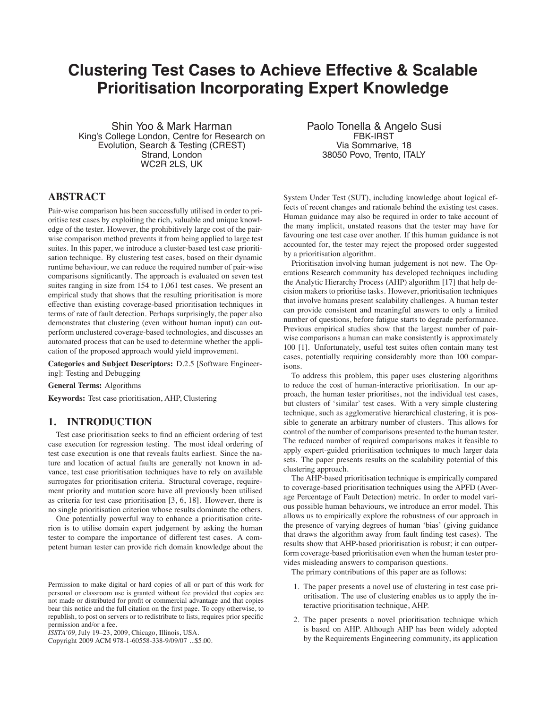# **Clustering Test Cases to Achieve Effective & Scalable Prioritisation Incorporating Expert Knowledge**

Shin Yoo & Mark Harman King's College London, Centre for Research on Evolution, Search & Testing (CREST) Strand, London WC2R 2LS, UK

**ABSTRACT**

Pair-wise comparison has been successfully utilised in order to prioritise test cases by exploiting the rich, valuable and unique knowledge of the tester. However, the prohibitively large cost of the pairwise comparison method prevents it from being applied to large test suites. In this paper, we introduce a cluster-based test case prioritisation technique. By clustering test cases, based on their dynamic runtime behaviour, we can reduce the required number of pair-wise comparisons significantly. The approach is evaluated on seven test suites ranging in size from 154 to 1,061 test cases. We present an empirical study that shows that the resulting prioritisation is more effective than existing coverage-based prioritisation techniques in terms of rate of fault detection. Perhaps surprisingly, the paper also demonstrates that clustering (even without human input) can outperform unclustered coverage-based technologies, and discusses an automated process that can be used to determine whether the application of the proposed approach would yield improvement.

**Categories and Subject Descriptors:** D.2.5 [Software Engineering]: Testing and Debugging

**General Terms:** Algorithms

**Keywords:** Test case prioritisation, AHP, Clustering

## **1. INTRODUCTION**

Test case prioritisation seeks to find an efficient ordering of test case execution for regression testing. The most ideal ordering of test case execution is one that reveals faults earliest. Since the nature and location of actual faults are generally not known in advance, test case prioritisation techniques have to rely on available surrogates for prioritisation criteria. Structural coverage, requirement priority and mutation score have all previously been utilised as criteria for test case prioritisation [3, 6, 18]. However, there is no single prioritisation criterion whose results dominate the others.

One potentially powerful way to enhance a prioritisation criterion is to utilise domain expert judgement by asking the human tester to compare the importance of different test cases. A competent human tester can provide rich domain knowledge about the

Copyright 2009 ACM 978-1-60558-338-9/09/07 ...\$5.00.

Paolo Tonella & Angelo Susi FBK-IRST Via Sommarive, 18 38050 Povo, Trento, ITALY

System Under Test (SUT), including knowledge about logical effects of recent changes and rationale behind the existing test cases. Human guidance may also be required in order to take account of the many implicit, unstated reasons that the tester may have for favouring one test case over another. If this human guidance is not accounted for, the tester may reject the proposed order suggested by a prioritisation algorithm.

Prioritisation involving human judgement is not new. The Operations Research community has developed techniques including the Analytic Hierarchy Process (AHP) algorithm [17] that help decision makers to prioritise tasks. However, prioritisation techniques that involve humans present scalability challenges. A human tester can provide consistent and meaningful answers to only a limited number of questions, before fatigue starts to degrade performance. Previous empirical studies show that the largest number of pairwise comparisons a human can make consistently is approximately 100 [1]. Unfortunately, useful test suites often contain many test cases, potentially requiring considerably more than 100 comparisons.

To address this problem, this paper uses clustering algorithms to reduce the cost of human-interactive prioritisation. In our approach, the human tester prioritises, not the individual test cases, but clusters of 'similar' test cases. With a very simple clustering technique, such as agglomerative hierarchical clustering, it is possible to generate an arbitrary number of clusters. This allows for control of the number of comparisons presented to the human tester. The reduced number of required comparisons makes it feasible to apply expert-guided prioritisation techniques to much larger data sets. The paper presents results on the scalability potential of this clustering approach.

The AHP-based prioritisation technique is empirically compared to coverage-based prioritisation techniques using the APFD (Average Percentage of Fault Detection) metric. In order to model various possible human behaviours, we introduce an error model. This allows us to empirically explore the robustness of our approach in the presence of varying degrees of human 'bias' (giving guidance that draws the algorithm away from fault finding test cases). The results show that AHP-based prioritisation is robust; it can outperform coverage-based prioritisation even when the human tester provides misleading answers to comparison questions.

The primary contributions of this paper are as follows:

- 1. The paper presents a novel use of clustering in test case prioritisation. The use of clustering enables us to apply the interactive prioritisation technique, AHP.
- 2. The paper presents a novel prioritisation technique which is based on AHP. Although AHP has been widely adopted by the Requirements Engineering community, its application

Permission to make digital or hard copies of all or part of this work for personal or classroom use is granted without fee provided that copies are not made or distributed for profit or commercial advantage and that copies bear this notice and the full citation on the first page. To copy otherwise, to republish, to post on servers or to redistribute to lists, requires prior specific permission and/or a fee.

*ISSTA'09,* July 19–23, 2009, Chicago, Illinois, USA.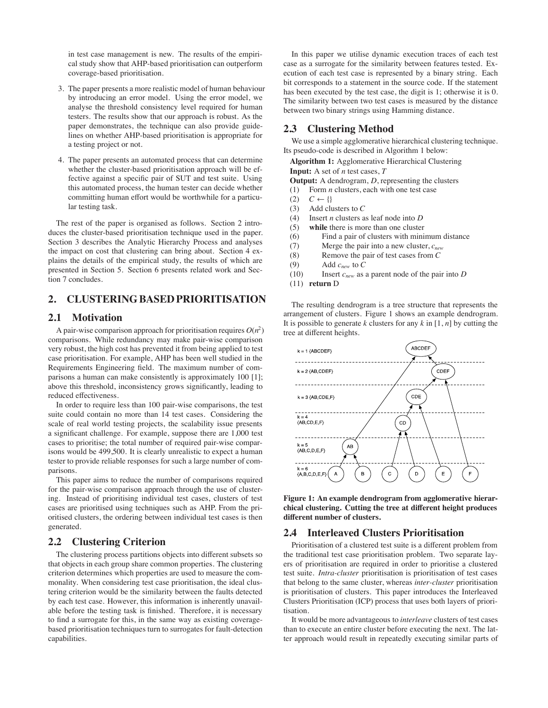in test case management is new. The results of the empirical study show that AHP-based prioritisation can outperform coverage-based prioritisation.

- 3. The paper presents a more realistic model of human behaviour by introducing an error model. Using the error model, we analyse the threshold consistency level required for human testers. The results show that our approach is robust. As the paper demonstrates, the technique can also provide guidelines on whether AHP-based prioritisation is appropriate for a testing project or not.
- 4. The paper presents an automated process that can determine whether the cluster-based prioritisation approach will be effective against a specific pair of SUT and test suite. Using this automated process, the human tester can decide whether committing human effort would be worthwhile for a particular testing task.

The rest of the paper is organised as follows. Section 2 introduces the cluster-based prioritisation technique used in the paper. Section 3 describes the Analytic Hierarchy Process and analyses the impact on cost that clustering can bring about. Section 4 explains the details of the empirical study, the results of which are presented in Section 5. Section 6 presents related work and Section 7 concludes.

# **2. CLUSTERING BASED PRIORITISATION**

## **2.1 Motivation**

A pair-wise comparison approach for prioritisation requires  $O(n^2)$ comparisons. While redundancy may make pair-wise comparison very robust, the high cost has prevented it from being applied to test case prioritisation. For example, AHP has been well studied in the Requirements Engineering field. The maximum number of comparisons a human can make consistently is approximately 100 [1]; above this threshold, inconsistency grows significantly, leading to reduced effectiveness.

In order to require less than 100 pair-wise comparisons, the test suite could contain no more than 14 test cases. Considering the scale of real world testing projects, the scalability issue presents a significant challenge. For example, suppose there are 1,000 test cases to prioritise; the total number of required pair-wise comparisons would be 499,500. It is clearly unrealistic to expect a human tester to provide reliable responses for such a large number of comparisons.

This paper aims to reduce the number of comparisons required for the pair-wise comparison approach through the use of clustering. Instead of prioritising individual test cases, clusters of test cases are prioritised using techniques such as AHP. From the prioritised clusters, the ordering between individual test cases is then generated.

# **2.2 Clustering Criterion**

The clustering process partitions objects into different subsets so that objects in each group share common properties. The clustering criterion determines which properties are used to measure the commonality. When considering test case prioritisation, the ideal clustering criterion would be the similarity between the faults detected by each test case. However, this information is inherently unavailable before the testing task is finished. Therefore, it is necessary to find a surrogate for this, in the same way as existing coveragebased prioritisation techniques turn to surrogates for fault-detection capabilities.

In this paper we utilise dynamic execution traces of each test case as a surrogate for the similarity between features tested. Execution of each test case is represented by a binary string. Each bit corresponds to a statement in the source code. If the statement has been executed by the test case, the digit is 1; otherwise it is 0. The similarity between two test cases is measured by the distance between two binary strings using Hamming distance.

# **2.3 Clustering Method**

We use a simple agglomerative hierarchical clustering technique. Its pseudo-code is described in Algorithm 1 below:

**Algorithm 1:** Agglomerative Hierarchical Clustering **Input:** A set of *n* test cases, *T*

**Output:** A dendrogram, *D*, representing the clusters

- (1) Form *n* clusters, each with one test case
- (2)  $C \leftarrow \{\}$ <br>(3) Add clu
- 
- (3) Add clusters to *C* Insert *n* clusters as leaf node into *D*
- (5) **while** there is more than one cluster
- (6) Find a pair of clusters with minimum distance
- (7) Merge the pair into a new cluster, *cnew*
- (8) Remove the pair of test cases from *C*
- 
- (9) Add  $c_{new}$  to *C*<br>(10) Insert  $c_{new}$  as a Insert  $c_{new}$  as a parent node of the pair into  $D$
- (11) **return** D

The resulting dendrogram is a tree structure that represents the arrangement of clusters. Figure 1 shows an example dendrogram. It is possible to generate *k* clusters for any *k* in [1, *n*] by cutting the tree at different heights.





### **2.4 Interleaved Clusters Prioritisation**

Prioritisation of a clustered test suite is a different problem from the traditional test case prioritisation problem. Two separate layers of prioritisation are required in order to prioritise a clustered test suite. *Intra-cluster* prioritisation is prioritisation of test cases that belong to the same cluster, whereas *inter-cluster* prioritisation is prioritisation of clusters. This paper introduces the Interleaved Clusters Prioritisation (ICP) process that uses both layers of prioritisation.

It would be more advantageous to *interleave* clusters of test cases than to execute an entire cluster before executing the next. The latter approach would result in repeatedly executing similar parts of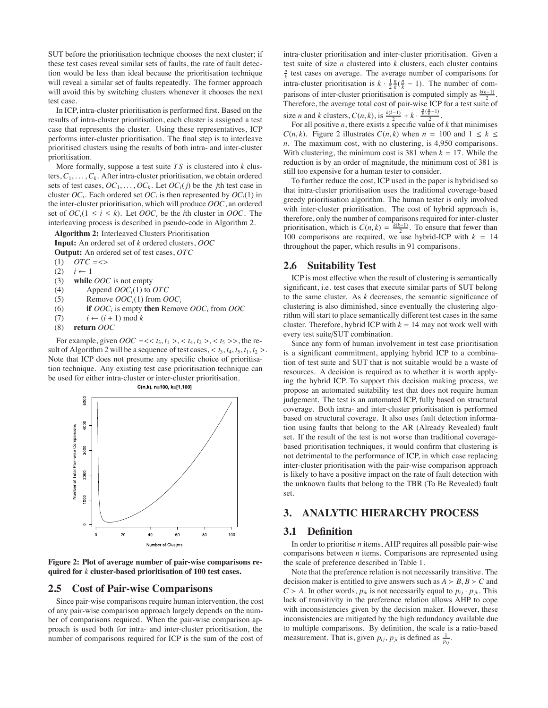SUT before the prioritisation technique chooses the next cluster; if these test cases reveal similar sets of faults, the rate of fault detection would be less than ideal because the prioritisation technique will reveal a similar set of faults repeatedly. The former approach will avoid this by switching clusters whenever it chooses the next test case.

In ICP, intra-cluster prioritisation is performed first. Based on the results of intra-cluster prioritisation, each cluster is assigned a test case that represents the cluster. Using these representatives, ICP performs inter-cluster prioritisation. The final step is to interleave prioritised clusters using the results of both intra- and inter-cluster prioritisation.

More formally, suppose a test suite *T S* is clustered into *k* clusters,  $C_1, \ldots, C_k$ . After intra-cluster prioritisation, we obtain ordered sets of test cases,  $OC_1, \ldots, OC_k$ . Let  $OC_i(j)$  be the *j*th test case in cluster  $OC_i$ . Each ordered set  $OC_i$  is then represented by  $OC_i(1)$  in the inter-cluster prioritisation, which will produce *OOC*, an ordered set of  $OC_i(1 \le i \le k)$ . Let  $OOC_i$  be the *i*th cluster in *OOC*. The interleaving process is described in pseudo-code in Algorithm 2.

**Algorithm 2:** Interleaved Clusters Prioritisation

**Input:** An ordered set of *k* ordered clusters, *OOC*

- **Output:** An ordered set of test cases, *OTC*
- $(1)$  *OTC* = <>
- (2)  $i \leftarrow 1$ <br>(3) while
- while *OOC* is not empty
- (4) Append  $OOC_i(1)$  to  $OTC$ <br>(5) Remove  $OOC_i(1)$  from O
- (5) Remove  $OOC_i(1)$  from  $OOC_i$ <br>(6) **if**  $OOC_i$  is empty **then** Remov
- if  $OOC_i$  is empty **then** Remove  $OOC_i$  from  $OOC$
- (7)  $i \leftarrow (i + 1) \mod k$ <br>(8) **return** *OOC*
- (8) **return** *OOC*

For example, given  $OOC = \langle t_3, t_1 \rangle, \langle t_4, t_2 \rangle, \langle t_5 \rangle$ , the result of Algorithm 2 will be a sequence of test cases,  $\lt t_3$ ,  $t_4$ ,  $t_5$ ,  $t_1$ ,  $t_2$   $\gt$ . Note that ICP does not presume any specific choice of prioritisation technique. Any existing test case prioritisation technique can be used for either intra-cluster or inter-cluster prioritisation.



**Figure 2: Plot of average number of pair-wise comparisons required for** *k* **cluster-based prioritisation of 100 test cases.**

Number of Clusters

## **2.5 Cost of Pair-wise Comparisons**

Since pair-wise comparisons require human intervention, the cost of any pair-wise comparison approach largely depends on the number of comparisons required. When the pair-wise comparison approach is used both for intra- and inter-cluster prioritisation, the number of comparisons required for ICP is the sum of the cost of intra-cluster prioritisation and inter-cluster prioritisation. Given a test suite of size *n* clustered into *k* clusters, each cluster contains  $\frac{n}{k}$  test cases on average. The average number of comparisons for intra-cluster prioritisation is  $k \cdot \frac{1}{2} \frac{n}{k} (\frac{n}{k} - 1)$ . The number of comparisons of inter-cluster prioritisation is computed simply as  $\frac{k(k-1)}{2}$ . Therefore, the average total cost of pair-wise ICP for a test suite of size *n* and *k* clusters,  $C(n, k)$ , is  $\frac{k(k-1)}{2} + k \cdot \frac{\frac{n}{k}(\frac{n}{k}-1)}{2}$ .

For all positive *n*, there exists a specific value of *k* that minimises *C*(*n*, *k*). Figure 2 illustrates *C*(*n*, *k*) when  $n = 100$  and  $1 \le k \le$ *n*. The maximum cost, with no clustering, is 4,950 comparisons. With clustering, the minimum cost is 381 when  $k = 17$ . While the reduction is by an order of magnitude, the minimum cost of 381 is still too expensive for a human tester to consider.

To further reduce the cost, ICP used in the paper is hybridised so that intra-cluster prioritisation uses the traditional coverage-based greedy prioritisation algorithm. The human tester is only involved with inter-cluster prioritisation. The cost of hybrid approach is, therefore, only the number of comparisons required for inter-cluster prioritisation, which is  $C(n, k) = \frac{k(k-1)}{2}$ . To ensure that fewer than 100 comparisons are required, we use hybrid-ICP with  $k = 14$ throughout the paper, which results in 91 comparisons.

#### **2.6 Suitability Test**

ICP is most effective when the result of clustering is semantically significant, i.e. test cases that execute similar parts of SUT belong to the same cluster. As *k* decreases, the semantic significance of clustering is also diminished, since eventually the clustering algorithm will start to place semantically different test cases in the same cluster. Therefore, hybrid ICP with  $k = 14$  may not work well with every test suite/SUT combination.

Since any form of human involvement in test case prioritisation is a significant commitment, applying hybrid ICP to a combination of test suite and SUT that is not suitable would be a waste of resources. A decision is required as to whether it is worth applying the hybrid ICP. To support this decision making process, we propose an automated suitability test that does not require human judgement. The test is an automated ICP, fully based on structural coverage. Both intra- and inter-cluster prioritisation is performed based on structural coverage. It also uses fault detection information using faults that belong to the AR (Already Revealed) fault set. If the result of the test is not worse than traditional coveragebased prioritisation techniques, it would confirm that clustering is not detrimental to the performance of ICP, in which case replacing inter-cluster prioritisation with the pair-wise comparison approach is likely to have a positive impact on the rate of fault detection with the unknown faults that belong to the TBR (To Be Revealed) fault set.

# **3. ANALYTIC HIERARCHY PROCESS**

## **3.1 Definition**

In order to prioritise *n* items, AHP requires all possible pair-wise comparisons between *n* items. Comparisons are represented using the scale of preference described in Table 1.

Note that the preference relation is not necessarily transitive. The decision maker is entitled to give answers such as  $A > B$ ,  $B > C$  and  $C > A$ . In other words,  $p_{ik}$  is not necessarily equal to  $p_{ii} \cdot p_{ik}$ . This lack of transitivity in the preference relation allows AHP to cope with inconsistencies given by the decision maker. However, these inconsistencies are mitigated by the high redundancy available due to multiple comparisons. By definition, the scale is a ratio-based measurement. That is, given  $p_{ij}$ ,  $p_{ji}$  is defined as  $\frac{1}{p_{ij}}$ .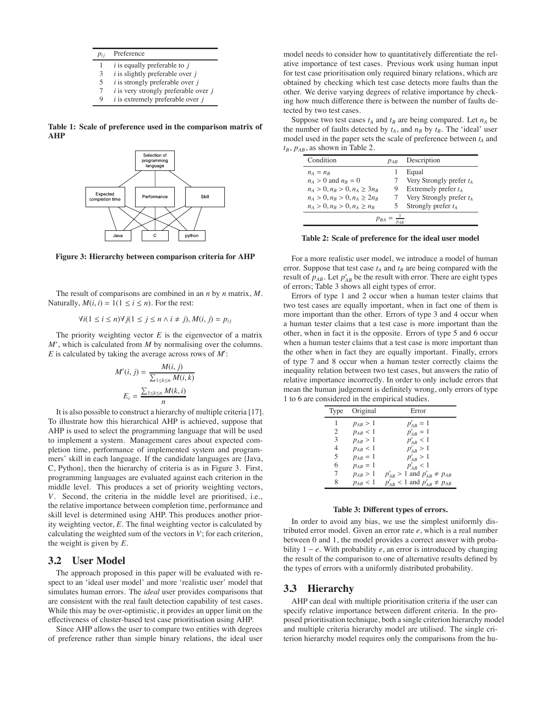$p_{ij}$  Preference

- 1 *i* is equally preferable to *j*
- 3 *i* is slightly preferable over *j*
- 5 *i* is strongly preferable over *j*
- $i$  is very strongly preferable over  $j$
- 9 *i* is extremely preferable over *j*

**Table 1: Scale of preference used in the comparison matrix of AHP**



**Figure 3: Hierarchy between comparison criteria for AHP**

The result of comparisons are combined in an *n* by *n* matrix, *M*. Naturally,  $M(i, i) = 1(1 \le i \le n)$ . For the rest:

$$
\forall i (1 \le i \le n) \forall j (1 \le j \le n \land i \ne j), M(i, j) = p_{ij}
$$

The priority weighting vector  $E$  is the eigenvector of a matrix *M*' , which is calculated from *M* by normalising over the columns. *E* is calculated by taking the average across rows of *M*' :

$$
M'(i, j) = \frac{M(i, j)}{\sum_{1 \le k \le n} M(i, k)}
$$

$$
E_i = \frac{\sum_{1 \le k \le n} M(k, i)}{n}
$$

It is also possible to construct a hierarchy of multiple criteria [17]. To illustrate how this hierarchical AHP is achieved, suppose that AHP is used to select the programming language that will be used to implement a system. Management cares about expected completion time, performance of implemented system and programmers' skill in each language. If the candidate languages are {Java, C, Python}, then the hierarchy of criteria is as in Figure 3. First, programming languages are evaluated against each criterion in the middle level. This produces a set of priority weighting vectors, *V*. Second, the criteria in the middle level are prioritised, i.e., the relative importance between completion time, performance and skill level is determined using AHP. This produces another priority weighting vector, *E*. The final weighting vector is calculated by calculating the weighted sum of the vectors in *V*; for each criterion, the weight is given by *E*.

#### **3.2 User Model**

The approach proposed in this paper will be evaluated with respect to an 'ideal user model' and more 'realistic user' model that simulates human errors. The *ideal* user provides comparisons that are consistent with the real fault detection capability of test cases. While this may be over-optimistic, it provides an upper limit on the effectiveness of cluster-based test case prioritisation using AHP.

Since AHP allows the user to compare two entities with degrees of preference rather than simple binary relations, the ideal user model needs to consider how to quantitatively differentiate the relative importance of test cases. Previous work using human input for test case prioritisation only required binary relations, which are obtained by checking which test case detects more faults than the other. We derive varying degrees of relative importance by checking how much difference there is between the number of faults detected by two test cases.

Suppose two test cases  $t_A$  and  $t_B$  are being compared. Let  $n_A$  be the number of faults detected by  $t_A$ , and  $n_B$  by  $t_B$ . The 'ideal' user model used in the paper sets the scale of preference between  $t_A$  and  $t_B$ ,  $p_{AB}$ , as shown in Table 2.

| Condition                            | $p_{AB}$ | Description                |  |  |  |  |  |  |  |  |
|--------------------------------------|----------|----------------------------|--|--|--|--|--|--|--|--|
| $n_A = n_R$                          |          | Equal                      |  |  |  |  |  |  |  |  |
| $n_A > 0$ and $n_R = 0$              |          | Very Strongly prefer $t_A$ |  |  |  |  |  |  |  |  |
| $n_A > 0$ , $n_B > 0$ , $n_A > 3n_B$ |          | 9 Extremely prefer $t_A$   |  |  |  |  |  |  |  |  |
| $n_A > 0, n_B > 0, n_A \geq 2n_B$    |          | Very Strongly prefer $t_A$ |  |  |  |  |  |  |  |  |
| $n_A > 0, n_B > 0, n_A \ge n_B$      |          | 5 Strongly prefer $t_A$    |  |  |  |  |  |  |  |  |
| $p_{BA} =$                           |          |                            |  |  |  |  |  |  |  |  |

**Table 2: Scale of preference for the ideal user model**

For a more realistic user model, we introduce a model of human error. Suppose that test case  $t_A$  and  $t_B$  are being compared with the result of  $p_{AB}$ . Let  $p'_{AB}$  be the result with error. There are eight types of errors; Table 3 shows all eight types of error.

Errors of type 1 and 2 occur when a human tester claims that two test cases are equally important, when in fact one of them is more important than the other. Errors of type 3 and 4 occur when a human tester claims that a test case is more important than the other, when in fact it is the opposite. Errors of type 5 and 6 occur when a human tester claims that a test case is more important than the other when in fact they are equally important. Finally, errors of type 7 and 8 occur when a human tester correctly claims the inequality relation between two test cases, but answers the ratio of relative importance incorrectly. In order to only include errors that mean the human judgement is definitely wrong, only errors of type 1 to 6 are considered in the empirical studies.

|                | Type Original | Error                                   |
|----------------|---------------|-----------------------------------------|
| -1             | $p_{AB} > 1$  | $p'_{AB} = 1$                           |
| 2              | $p_{AB}$ < 1  | $p'_{AB} = 1$                           |
| 3              | $p_{AB} > 1$  | $p'_{AB}$ < 1                           |
| $\overline{4}$ | $p_{AB}$ < 1  | $p'_{AB} > 1$                           |
| 5              | $p_{AB}=1$    | $p'_{AB} > 1$                           |
| 6              | $p_{AB}=1$    | $p'_{AB} < 1$                           |
| 7              | $p_{AB} > 1$  | $p'_{AB} > 1$ and $p'_{AB} \neq p_{AB}$ |
| 8              | $p_{AB}$ < 1  | $p'_{AB}$ < 1 and $p'_{AB} \neq p_{AB}$ |

#### **Table 3: Di**ff**erent types of errors.**

In order to avoid any bias, we use the simplest uniformly distributed error model. Given an error rate *e*, which is a real number between 0 and 1, the model provides a correct answer with probability 1 − *e*. With probability *e*, an error is introduced by changing the result of the comparison to one of alternative results defined by the types of errors with a uniformly distributed probability.

### **3.3 Hierarchy**

AHP can deal with multiple prioritisation criteria if the user can specify relative importance between different criteria. In the proposed prioritisation technique, both a single criterion hierarchy model and multiple criteria hierarchy model are utilised. The single criterion hierarchy model requires only the comparisons from the hu-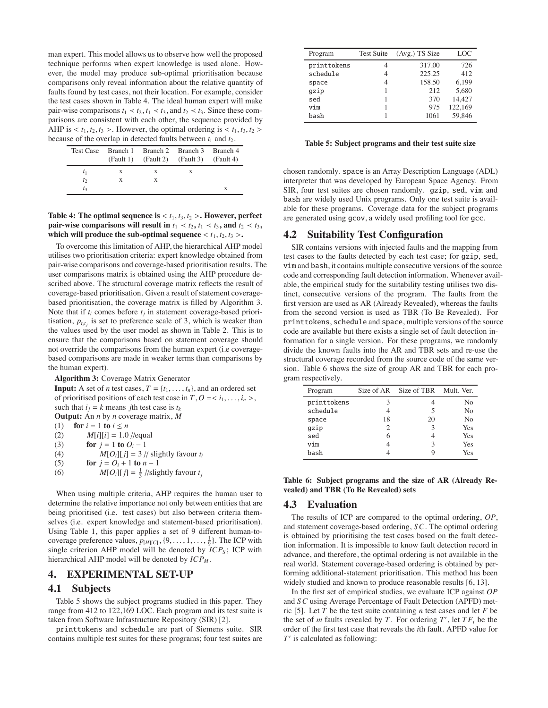man expert. This model allows us to observe how well the proposed technique performs when expert knowledge is used alone. However, the model may produce sub-optimal prioritisation because comparisons only reveal information about the relative quantity of faults found by test cases, not their location. For example, consider the test cases shown in Table 4. The ideal human expert will make pair-wise comparisons  $t_1 \lt t_2$ ,  $t_1 \lt t_3$ , and  $t_2 \lt t_3$ . Since these comparisons are consistent with each other, the sequence provided by AHP is  $\langle t_1, t_2, t_3 \rangle$ . However, the optimal ordering is  $\langle t_1, t_3, t_2 \rangle$ because of the overlap in detected faults between  $t_1$  and  $t_2$ .

|    |   | Test Case Branch 1 Branch 2 Branch 3 Branch 4<br>(Fault 1) (Fault 2) (Fault 3) (Fault 4) |   |
|----|---|------------------------------------------------------------------------------------------|---|
| I1 | X | X                                                                                        |   |
| tэ |   | X                                                                                        |   |
| lг |   |                                                                                          | X |

**Table 4: The optimal sequence is**  $< t_1, t_3, t_2 >$ **. However, perfect pair-wise comparisons will result in**  $t_1 \lt t_2$ ,  $t_1 \lt t_3$ , and  $t_2 \lt t_3$ , **which will produce the sub-optimal sequence**  $\lt t_1, t_2, t_3 >$ .

To overcome this limitation of AHP, the hierarchical AHP model utilises two prioritisation criteria: expert knowledge obtained from pair-wise comparisons and coverage-based prioritisation results. The user comparisons matrix is obtained using the AHP procedure described above. The structural coverage matrix reflects the result of coverage-based prioritisation. Given a result of statement coveragebased prioritisation, the coverage matrix is filled by Algorithm 3. Note that if  $t_i$  comes before  $t_j$  in statement coverage-based prioritisation,  $p_{t_i t_j}$  is set to preference scale of 3, which is weaker than the values used by the user model as shown in Table 2. This is to ensure that the comparisons based on statement coverage should not override the comparisons from the human expert (i.e coveragebased comparisons are made in weaker terms than comparisons by the human expert).

**Algorithm 3:** Coverage Matrix Generator

**Input:** A set of *n* test cases,  $T = \{t_1, \ldots, t_n\}$ , and an ordered set of prioritised positions of each test case in  $T, O = \langle i_1, \ldots, i_n \rangle$ , such that  $i_j = k$  means *j*th test case is  $t_k$ **Output:** An *n* by *n* coverage matrix, *M*

(1) **for**  $i = 1$  **to**  $i \le n$ <br>(2) *M*[*i*][*i*] = 1.0

 $M[i][i] = 1.0$  //equal

- (3) **for**  $j = 1$  **to**  $O_i 1$ <br>(4)  $M[O_i][j] = 3 / j$
- $M[O_i][j] = 3$  // slightly favour  $t_i$
- (5) **for**  $j = O_i + 1$  **to**  $n 1$ <br>(6) *M*[*O<sub>i</sub>]*[*j*] =  $\frac{1}{2}$  //slig
- (6)  $M[O_i][j] = \frac{1}{3}$  //slightly favour *t<sub>j</sub>*

When using multiple criteria, AHP requires the human user to determine the relative importance not only between entities that are being prioritised (i.e. test cases) but also between criteria themselves (i.e. expert knowledge and statement-based prioritisation). Using Table 1, this paper applies a set of 9 different human-tocoverage preference values,  $p_{[H][C]}, \{9, \ldots, 1, \ldots, \frac{1}{9}\}$ . The ICP with single criterion AHP model will be denoted by  $ICP_S$ ; ICP with hierarchical AHP model will be denoted by *ICPM*.

# **4. EXPERIMENTAL SET-UP**

### **4.1 Subjects**

Table 5 shows the subject programs studied in this paper. They range from 412 to 122,169 LOC. Each program and its test suite is taken from Software Infrastructure Repository (SIR) [2].

printtokens and schedule are part of Siemens suite. SIR contains multiple test suites for these programs; four test suites are

| Program     | <b>Test Suite</b> | (Avg.) TS Size | LOC     |
|-------------|-------------------|----------------|---------|
| printtokens | 4                 | 317.00         | 726     |
| schedule    | 4                 | 225.25         | 412     |
| space       | 4                 | 158.50         | 6,199   |
| qzip        |                   | 2.12           | 5,680   |
| sed         |                   | 370            | 14,427  |
| vim         |                   | 975            | 122,169 |
| bash        |                   | 1061           | 59,846  |

#### **Table 5: Subject programs and their test suite size**

chosen randomly. space is an Array Description Language (ADL) interpreter that was developed by European Space Agency. From SIR, four test suites are chosen randomly. gzip, sed, vim and bash are widely used Unix programs. Only one test suite is available for these programs. Coverage data for the subject programs are generated using gcov, a widely used profiling tool for gcc.

### **4.2 Suitability Test Configuration**

SIR contains versions with injected faults and the mapping from test cases to the faults detected by each test case; for gzip, sed, vim and bash, it contains multiple consecutive versions of the source code and corresponding fault detection information. Whenever available, the empirical study for the suitability testing utilises two distinct, consecutive versions of the program. The faults from the first version are used as AR (Already Revealed), whereas the faults from the second version is used as TBR (To Be Revealed). For printtokens, schedule and space, multiple versions of the source code are available but there exists a single set of fault detection information for a single version. For these programs, we randomly divide the known faults into the AR and TBR sets and re-use the structural coverage recorded from the source code of the same version. Table 6 shows the size of group AR and TBR for each program respectively.

| Program     |    | Size of AR Size of TBR Mult. Ver. |     |
|-------------|----|-----------------------------------|-----|
| printtokens |    |                                   | No  |
| schedule    |    | 5                                 | No  |
| space       | 18 | 20                                | No  |
| gzip        |    | 3                                 | Yes |
| sed         | 6  |                                   | Yes |
| vim         |    | 3                                 | Yes |
| bash        |    | g                                 | Yes |

**Table 6: Subject programs and the size of AR (Already Revealed) and TBR (To Be Revealed) sets**

#### **4.3 Evaluation**

The results of ICP are compared to the optimal ordering, *OP*, and statement coverage-based ordering, *S C*. The optimal ordering is obtained by prioritising the test cases based on the fault detection information. It is impossible to know fault detection record in advance, and therefore, the optimal ordering is not available in the real world. Statement coverage-based ordering is obtained by performing additional-statement prioritisation. This method has been widely studied and known to produce reasonable results [6, 13].

In the first set of empirical studies, we evaluate ICP against *OP* and *S C* using Average Percentage of Fault Detection (APFD) metric [5]. Let *T* be the test suite containing *n* test cases and let *F* be the set of *m* faults revealed by  $T$ . For ordering  $T'$ , let  $TF_i$  be the order of the first test case that reveals the *i*th fault. APFD value for *T*' is calculated as following: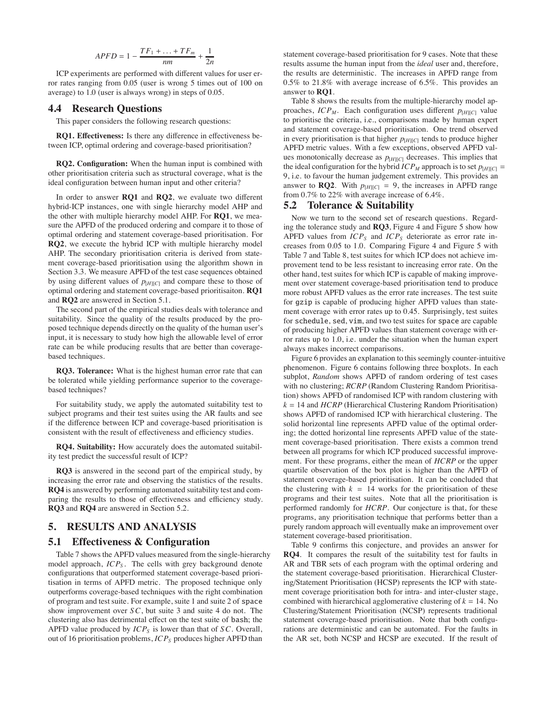$$
APFD = 1 - \frac{TF_1 + \ldots + TF_m}{nm} + \frac{1}{2n}
$$

ICP experiments are performed with different values for user error rates ranging from 0.05 (user is wrong 5 times out of 100 on average) to 1.0 (user is always wrong) in steps of 0.05.

## **4.4 Research Questions**

This paper considers the following research questions:

**RQ1. E**ff**ectiveness:** Is there any difference in effectiveness between ICP, optimal ordering and coverage-based prioritisation?

**RQ2. Configuration:** When the human input is combined with other prioritisation criteria such as structural coverage, what is the ideal configuration between human input and other criteria?

In order to answer **RQ1** and **RQ2**, we evaluate two different hybrid-ICP instances, one with single hierarchy model AHP and the other with multiple hierarchy model AHP. For **RQ1**, we measure the APFD of the produced ordering and compare it to those of optimal ordering and statement coverage-based prioritisation. For **RQ2**, we execute the hybrid ICP with multiple hierarchy model AHP. The secondary prioritisation criteria is derived from statement coverage-based prioritisation using the algorithm shown in Section 3.3. We measure APFD of the test case sequences obtained by using different values of  $p_{[H][C]}$  and compare these to those of optimal ordering and statement coverage-based prioritisaiton. **RQ1** and **RQ2** are answered in Section 5.1.

The second part of the empirical studies deals with tolerance and suitability. Since the quality of the results produced by the proposed technique depends directly on the quality of the human user's input, it is necessary to study how high the allowable level of error rate can be while producing results that are better than coveragebased techniques.

**RQ3. Tolerance:** What is the highest human error rate that can be tolerated while yielding performance superior to the coveragebased techniques?

For suitability study, we apply the automated suitability test to subject programs and their test suites using the AR faults and see if the difference between ICP and coverage-based prioritisation is consistent with the result of effectiveness and efficiency studies.

**RQ4. Suitability:** How accurately does the automated suitability test predict the successful result of ICP?

**RQ3** is answered in the second part of the empirical study, by increasing the error rate and observing the statistics of the results. **RQ4** is answered by performing automated suitability test and comparing the results to those of effectiveness and efficiency study. **RQ3** and **RQ4** are answered in Section 5.2.

# **5. RESULTS AND ANALYSIS**

#### **5.1 Effectiveness & Configuration**

Table 7 shows the APFD values measured from the single-hierarchy model approach, *ICP<sub>S</sub>*. The cells with grey background denote configurations that outperformed statement coverage-based prioritisation in terms of APFD metric. The proposed technique only outperforms coverage-based techniques with the right combination of program and test suite. For example, suite 1 and suite 2 of space show improvement over *S C*, but suite 3 and suite 4 do not. The clustering also has detrimental effect on the test suite of bash; the APFD value produced by *ICPS* is lower than that of *S C*. Overall, out of 16 prioritisation problems, *ICP<sub>S</sub>* produces higher APFD than

statement coverage-based prioritisation for 9 cases. Note that these results assume the human input from the *ideal* user and, therefore, the results are deterministic. The increases in APFD range from 0.5% to 21.8% with average increase of 6.5%. This provides an answer to **RQ1**.

Table 8 shows the results from the multiple-hierarchy model approaches,  $ICP_M$ . Each configuration uses different  $p_{[H][C]}$  value to prioritise the criteria, i.e., comparisons made by human expert and statement coverage-based prioritisation. One trend observed in every prioritisation is that higher  $p_{[H][C]}$  tends to produce higher APFD metric values. With a few exceptions, observed APFD values monotonically decrease as  $p_{[H][C]}$  decreases. This implies that the ideal configuration for the hybrid  $ICP_M$  approach is to set  $p_{[H][C]}$  = 9, i.e. to favour the human judgement extremely. This provides an answer to **RQ2**. With  $p_{[H][C]} = 9$ , the increases in APFD range from 0.7% to 22% with average increase of 6.4%.

## **5.2 Tolerance & Suitability**

Now we turn to the second set of research questions. Regarding the tolerance study and **RQ3**, Figure 4 and Figure 5 show how APFD values from  $ICP<sub>S</sub>$  and  $ICP<sub>S</sub>$  deteriorate as error rate increases from 0.05 to 1.0. Comparing Figure 4 and Figure 5 with Table 7 and Table 8, test suites for which ICP does not achieve improvement tend to be less resistant to increasing error rate. On the other hand, test suites for which ICP is capable of making improvement over statement coverage-based prioritisation tend to produce more robust APFD values as the error rate increases. The test suite for gzip is capable of producing higher APFD values than statement coverage with error rates up to 0.45. Surprisingly, test suites for schedule, sed, vim, and two test suites for space are capable of producing higher APFD values than statement coverage with error rates up to 1.0, i.e. under the situation when the human expert always makes incorrect comparisons.

Figure 6 provides an explanation to this seemingly counter-intuitive phenomenon. Figure 6 contains following three boxplots. In each subplot, *Random* shows APFD of random ordering of test cases with no clustering; *RCRP* (Random Clustering Random Prioritisation) shows APFD of randomised ICP with random clustering with *k* = 14 and *HCRP* (Hierarchical Clustering Random Prioritisation) shows APFD of randomised ICP with hierarchical clustering. The solid horizontal line represents APFD value of the optimal ordering; the dotted horizontal line represents APFD value of the statement coverage-based prioritisation. There exists a common trend between all programs for which ICP produced successful improvement. For these programs, either the mean of *HCRP* or the upper quartile observation of the box plot is higher than the APFD of statement coverage-based prioritisation. It can be concluded that the clustering with  $k = 14$  works for the prioritisation of these programs and their test suites. Note that all the prioritisation is performed randomly for *HCRP*. Our conjecture is that, for these programs, any prioritisation technique that performs better than a purely random approach will eventually make an improvement over statement coverage-based prioritisation.

Table 9 confirms this conjecture, and provides an answer for **RQ4**. It compares the result of the suitability test for faults in AR and TBR sets of each program with the optimal ordering and the statement coverage-based prioritisation. Hierarchical Clustering/Statement Prioritisation (HCSP) represents the ICP with statement coverage prioritisation both for intra- and inter-cluster stage, combined with hierarchical agglomerative clustering of  $k = 14$ . No Clustering/Statement Prioritisation (NCSP) represents traditional statement coverage-based prioritisation. Note that both configurations are deterministic and can be automated. For the faults in the AR set, both NCSP and HCSP are executed. If the result of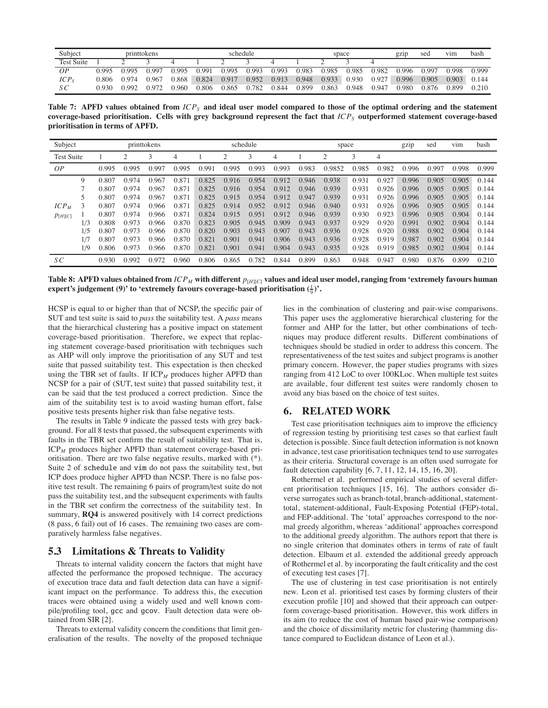| Subject           |       |       | printtokens |       |       |       | schedule |       |       | space |       |       | QZ1D  | sed   | <b>V1m</b> | bash  |
|-------------------|-------|-------|-------------|-------|-------|-------|----------|-------|-------|-------|-------|-------|-------|-------|------------|-------|
| <b>Test Suite</b> |       |       |             |       |       |       |          |       |       |       |       |       |       |       |            |       |
| OΡ                | በ 005 | በ 995 | 0.997       | በ 995 | 0.991 | 0.995 | 0.993    | 0.993 | 0.983 | 0.985 | 0.985 | 0.982 | 0.996 | 0.997 | 0.998      | 0.999 |
| ICP <sub>S</sub>  | 0.806 | 0.974 | 0.967       | 0.868 | 0.824 | 0.917 | 0.952    | 0.913 | 0.948 | 0.933 | 0.930 | 0.927 | 0.996 | 0.905 | 0.903      | 0.144 |
| S C               | 0.930 | 0.992 | በ 072       | 0.960 | 0.806 | 0.865 | 0.782    | 0.844 | 0.899 | 0.863 | 0.948 | 0.947 | 0.980 | 0.876 | 0.899      | 0.210 |

**Table 7: APFD values obtained from** *ICPS* **and ideal user model compared to those of the optimal ordering and the statement coverage-based prioritisation. Cells with grey background represent the fact that** *ICPS* **outperformed statement coverage-based prioritisation in terms of APFD.**

| Subject           |     | schedule<br>printtokens |       |       |       |       |       |       |       | space | gzip   | sed   | vim   | bash  |       |       |       |
|-------------------|-----|-------------------------|-------|-------|-------|-------|-------|-------|-------|-------|--------|-------|-------|-------|-------|-------|-------|
| <b>Test Suite</b> |     |                         |       |       | 4     |       |       |       | 4     |       |        | 3     | 4     |       |       |       |       |
| OP                |     | 0.995                   | 0.995 | 0.997 | 0.995 | 0.991 | 0.995 | 0.993 | 0.993 | 0.983 | 0.9852 | 0.985 | 0.982 | 0.996 | 0.997 | 0.998 | 0.999 |
|                   | 9   | 0.807                   | 0.974 | 0.967 | 0.871 | 0.825 | 0.916 | 0.954 | 0.912 | 0.946 | 0.938  | 0.931 | 0.927 | 0.996 | 0.905 | 0.905 | 0.144 |
|                   |     | 0.807                   | 0.974 | 0.967 | 0.871 | 0.825 | 0.916 | 0.954 | 0.912 | 0.946 | 0.939  | 0.931 | 0.926 | 0.996 | 0.905 | 0.905 | 0.144 |
|                   | 5   | 0.807                   | 0.974 | 0.967 | 0.871 | 0.825 | 0.915 | 0.954 | 0.912 | 0.947 | 0.939  | 0.931 | 0.926 | 0.996 | 0.905 | 0.905 | 0.144 |
| ICP <sub>M</sub>  | 3   | 0.807                   | 0.974 | 0.966 | 0.871 | 0.825 | 0.914 | 0.952 | 0.912 | 0.946 | 0.940  | 0.931 | 0.926 | 0.996 | 0.905 | 0.905 | 0.144 |
| P[H][C]           |     | 0.807                   | 0.974 | 0.966 | 0.871 | 0.824 | 0.915 | 0.951 | 0.912 | 0.946 | 0.939  | 0.930 | 0.923 | 0.996 | 0.905 | 0.904 | 0.144 |
|                   | 1/3 | 0.808                   | 0.973 | 0.966 | 0.870 | 0.823 | 0.905 | 0.945 | 0.909 | 0.943 | 0.937  | 0.929 | 0.920 | 0.991 | 0.902 | 0.904 | 0.144 |
|                   | 1/5 | 0.807                   | 0.973 | 0.966 | 0.870 | 0.820 | 0.903 | 0.943 | 0.907 | 0.943 | 0.936  | 0.928 | 0.920 | 0.988 | 0.902 | 0.904 | 0.144 |
|                   | 1/7 | 0.807                   | 0.973 | 0.966 | 0.870 | 0.821 | 0.901 | 0.941 | 0.906 | 0.943 | 0.936  | 0.928 | 0.919 | 0.987 | 0.902 | 0.904 | 0.144 |
|                   | 1/9 | 0.806                   | 0.973 | 0.966 | 0.870 | 0.821 | 0.901 | 0.941 | 0.904 | 0.943 | 0.935  | 0.928 | 0.919 | 0.985 | 0.902 | 0.904 | 0.144 |
| SC <sup>-</sup>   |     | 0.930                   | 0.992 | 0.972 | 0.960 | 0.806 | 0.865 | 0.782 | 0.844 | 0.899 | 0.863  | 0.948 | 0.947 | 0.980 | 0.876 | 0.899 | 0.210 |

Table 8: APFD values obtained from *ICP<sub>M</sub>* with different  $p_{[H][C]}$  values and ideal user model, ranging from 'extremely favours human  $\epsilon$  expert's judgement (9)' to 'extremely favours coverage-based prioritisation  $(\frac{1}{9})$ '.

HCSP is equal to or higher than that of NCSP, the specific pair of SUT and test suite is said to *pass* the suitability test. A *pass* means that the hierarchical clustering has a positive impact on statement coverage-based prioritisation. Therefore, we expect that replacing statement coverage-based prioritisation with techniques such as AHP will only improve the prioritisation of any SUT and test suite that passed suitability test. This expectation is then checked using the TBR set of faults. If ICP<sub>M</sub> produces higher APFD than NCSP for a pair of (SUT, test suite) that passed suitability test, it can be said that the test produced a correct prediction. Since the aim of the suitability test is to avoid wasting human effort, false positive tests presents higher risk than false negative tests.

The results in Table 9 indicate the passed tests with grey background. For all 8 tests that passed, the subsequent experiments with faults in the TBR set confirm the result of suitability test. That is, ICP*<sup>M</sup>* produces higher APFD than statement coverage-based prioritisation. There are two false negative results, marked with (\*). Suite 2 of schedule and vim do not pass the suitability test, but ICP does produce higher APFD than NCSP. There is no false positive test result. The remaining 6 pairs of program/test suite do not pass the suitability test, and the subsequent experiments with faults in the TBR set confirm the correctness of the suitability test. In summary, **RQ4** is answered positively with 14 correct predictions (8 pass, 6 fail) out of 16 cases. The remaining two cases are comparatively harmless false negatives.

# **5.3 Limitations & Threats to Validity**

Threats to internal validity concern the factors that might have affected the performance the proposed technique. The accuracy of execution trace data and fault detection data can have a significant impact on the performance. To address this, the execution traces were obtained using a widely used and well known compile/profiling tool, gcc and gcov. Fault detection data were obtained from SIR [2].

Threats to external validity concern the conditions that limit generalisation of the results. The novelty of the proposed technique lies in the combination of clustering and pair-wise comparisons. This paper uses the agglomerative hierarchical clustering for the former and AHP for the latter, but other combinations of techniques may produce different results. Different combinations of techniques should be studied in order to address this concern. The representativeness of the test suites and subject programs is another primary concern. However, the paper studies programs with sizes ranging from 412 LoC to over 100KLoc. When multiple test suites are available, four different test suites were randomly chosen to avoid any bias based on the choice of test suites.

# **6. RELATED WORK**

Test case prioritisation techniques aim to improve the efficiency of regression testing by prioritising test cases so that earliest fault detection is possible. Since fault detection information is not known in advance, test case prioritisation techniques tend to use surrogates as their criteria. Structural coverage is an often used surrogate for fault detection capability [6, 7, 11, 12, 14, 15, 16, 20].

Rothermel et al. performed empirical studies of several different prioritisation techniques [15, 16]. The authors consider diverse surrogates such as branch-total, branch-additional, statementtotal, statement-additional, Fault-Exposing Potential (FEP)-total, and FEP-additional. The 'total' approaches correspond to the normal greedy algorithm, whereas 'additional' approaches correspond to the additional greedy algorithm. The authors report that there is no single criterion that dominates others in terms of rate of fault detection. Elbaum et al. extended the additional greedy approach of Rothermel et al. by incorporating the fault criticality and the cost of executing test cases [7].

The use of clustering in test case prioritisation is not entirely new. Leon et al. prioritised test cases by forming clusters of their execution profile [10] and showed that their approach can outperform coverage-based prioritisation. However, this work differs in its aim (to reduce the cost of human based pair-wise comparison) and the choice of dissimilarity metric for clustering (hamming distance compared to Euclidean distance of Leon et al.).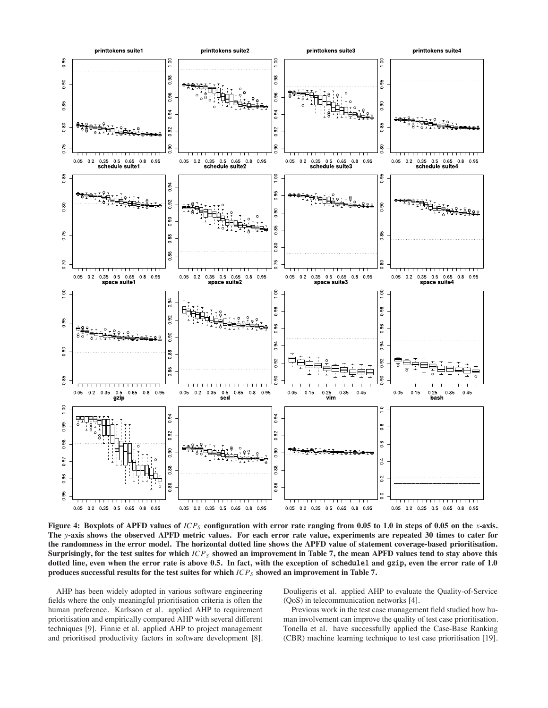

**Figure 4: Boxplots of APFD values of** *ICPS* **configuration with error rate ranging from 0.05 to 1.0 in steps of 0.05 on the** *x***-axis. The** *y***-axis shows the observed APFD metric values. For each error rate value, experiments are repeated 30 times to cater for the randomness in the error model. The horizontal dotted line shows the APFD value of statement coverage-based prioritisation. Surprisingly, for the test suites for which** *ICPS* **showed an improvement in Table 7, the mean APFD values tend to stay above this dotted line, even when the error rate is above 0.5. In fact, with the exception of** schedule1 **and** gzip**, even the error rate of 1.0 produces successful results for the test suites for which** *ICPS* **showed an improvement in Table 7.**

AHP has been widely adopted in various software engineering fields where the only meaningful prioritisation criteria is often the human preference. Karlsson et al. applied AHP to requirement prioritisation and empirically compared AHP with several different techniques [9]. Finnie et al. applied AHP to project management and prioritised productivity factors in software development [8]. Douligeris et al. applied AHP to evaluate the Quality-of-Service (QoS) in telecommunication networks [4].

Previous work in the test case management field studied how human involvement can improve the quality of test case prioritisation. Tonella et al. have successfully applied the Case-Base Ranking (CBR) machine learning technique to test case prioritisation [19].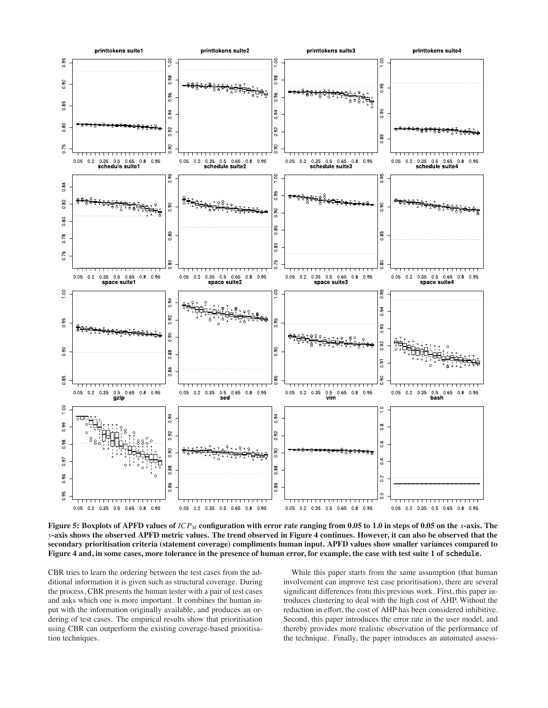

**Figure 5: Boxplots of APFD values of** *ICPM* **configuration with error rate ranging from 0.05 to 1.0 in steps of 0.05 on the** *x***-axis. The** *y***-axis shows the observed APFD metric values. The trend observed in Figure 4 continues. However, it can also be observed that the secondary prioritisation criteria (statement coverage) compliments human input. APFD values show smaller variances compared to Figure 4 and, in some cases, more tolerance in the presence of human error, for example, the case with test suite 1 of** schedule**.**

CBR tries to learn the ordering between the test cases from the additional information it is given such as structural coverage. During the process, CBR presents the human tester with a pair of test cases and asks which one is more important. It combines the human input with the information originally available, and produces an ordering of test cases. The empirical results show that prioritisation using CBR can outperform the existing coverage-based prioritisation techniques.

While this paper starts from the same assumption (that human involvement can improve test case prioritisation), there are several significant differences from this previous work. First, this paper introduces clustering to deal with the high cost of AHP. Without the reduction in effort, the cost of AHP has been considered inhibitive. Second, this paper introduces the error rate in the user model, and thereby provides more realistic observation of the performance of the technique. Finally, the paper introduces an automated assess-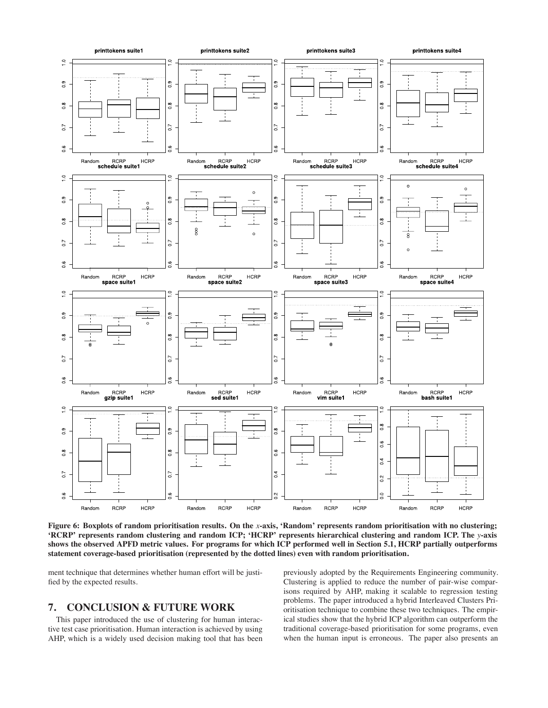

**Figure 6: Boxplots of random prioritisation results. On the** *x***-axis, 'Random' represents random prioritisation with no clustering; 'RCRP' represents random clustering and random ICP; 'HCRP' represents hierarchical clustering and random ICP. The** *y***-axis shows the observed APFD metric values. For programs for which ICP performed well in Section 5.1, HCRP partially outperforms statement coverage-based prioritisation (represented by the dotted lines) even with random prioritisation.**

ment technique that determines whether human effort will be justified by the expected results.

# **7. CONCLUSION & FUTURE WORK**

This paper introduced the use of clustering for human interactive test case prioritisation. Human interaction is achieved by using AHP, which is a widely used decision making tool that has been previously adopted by the Requirements Engineering community. Clustering is applied to reduce the number of pair-wise comparisons required by AHP, making it scalable to regression testing problems. The paper introduced a hybrid Interleaved Clusters Prioritisation technique to combine these two techniques. The empirical studies show that the hybrid ICP algorithm can outperform the traditional coverage-based prioritisation for some programs, even when the human input is erroneous. The paper also presents an